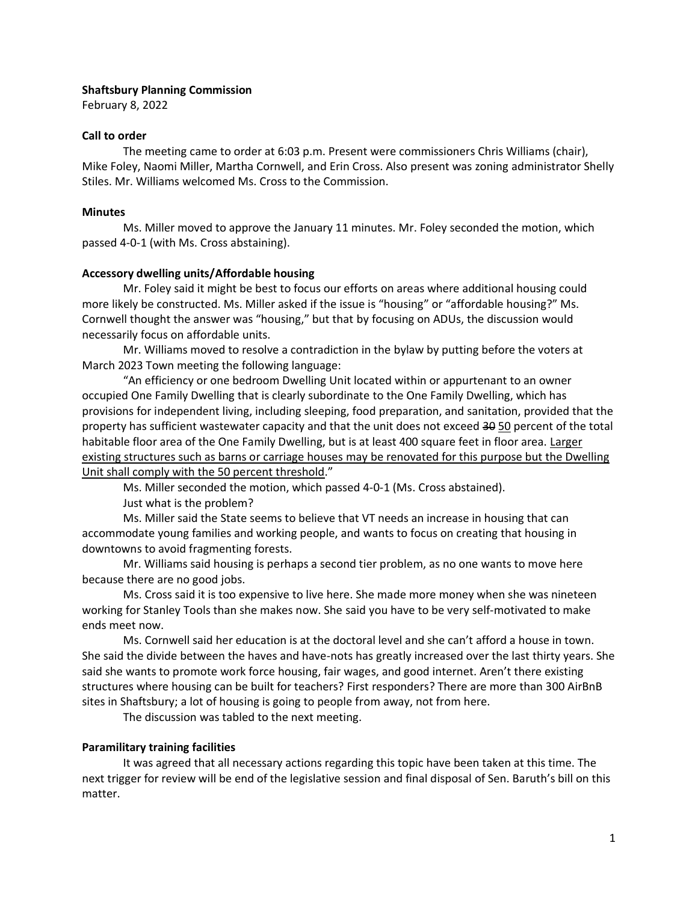## **Shaftsbury Planning Commission**

February 8, 2022

#### **Call to order**

The meeting came to order at 6:03 p.m. Present were commissioners Chris Williams (chair), Mike Foley, Naomi Miller, Martha Cornwell, and Erin Cross. Also present was zoning administrator Shelly Stiles. Mr. Williams welcomed Ms. Cross to the Commission.

#### **Minutes**

Ms. Miller moved to approve the January 11 minutes. Mr. Foley seconded the motion, which passed 4-0-1 (with Ms. Cross abstaining).

#### **Accessory dwelling units/Affordable housing**

Mr. Foley said it might be best to focus our efforts on areas where additional housing could more likely be constructed. Ms. Miller asked if the issue is "housing" or "affordable housing?" Ms. Cornwell thought the answer was "housing," but that by focusing on ADUs, the discussion would necessarily focus on affordable units.

Mr. Williams moved to resolve a contradiction in the bylaw by putting before the voters at March 2023 Town meeting the following language:

"An efficiency or one bedroom Dwelling Unit located within or appurtenant to an owner occupied One Family Dwelling that is clearly subordinate to the One Family Dwelling, which has provisions for independent living, including sleeping, food preparation, and sanitation, provided that the property has sufficient wastewater capacity and that the unit does not exceed 30 50 percent of the total habitable floor area of the One Family Dwelling, but is at least 400 square feet in floor area. Larger existing structures such as barns or carriage houses may be renovated for this purpose but the Dwelling Unit shall comply with the 50 percent threshold."

Ms. Miller seconded the motion, which passed 4-0-1 (Ms. Cross abstained).

Just what is the problem?

Ms. Miller said the State seems to believe that VT needs an increase in housing that can accommodate young families and working people, and wants to focus on creating that housing in downtowns to avoid fragmenting forests.

Mr. Williams said housing is perhaps a second tier problem, as no one wants to move here because there are no good jobs.

Ms. Cross said it is too expensive to live here. She made more money when she was nineteen working for Stanley Tools than she makes now. She said you have to be very self-motivated to make ends meet now.

Ms. Cornwell said her education is at the doctoral level and she can't afford a house in town. She said the divide between the haves and have-nots has greatly increased over the last thirty years. She said she wants to promote work force housing, fair wages, and good internet. Aren't there existing structures where housing can be built for teachers? First responders? There are more than 300 AirBnB sites in Shaftsbury; a lot of housing is going to people from away, not from here.

The discussion was tabled to the next meeting.

## **Paramilitary training facilities**

It was agreed that all necessary actions regarding this topic have been taken at this time. The next trigger for review will be end of the legislative session and final disposal of Sen. Baruth's bill on this matter.